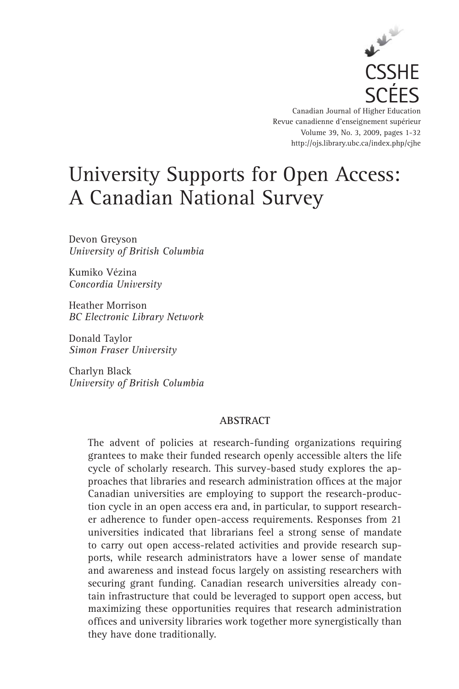

Canadian Journal of Higher Education Revue canadienne d'enseignement supérieur Volume 39, No. 3, 2009, pages 1-32 http://ojs.library.ubc.ca/index.php/cjhe

# University Supports for Open Access: A Canadian National Survey

Devon Greyson *University of British Columbia*

Kumiko Vézina *Concordia University*

Heather Morrison *BC Electronic Library Network*

Donald Taylor *Simon Fraser University*

Charlyn Black *University of British Columbia*

## **ABSTRACT**

The advent of policies at research-funding organizations requiring grantees to make their funded research openly accessible alters the life cycle of scholarly research. This survey-based study explores the approaches that libraries and research administration offices at the major Canadian universities are employing to support the research-production cycle in an open access era and, in particular, to support researcher adherence to funder open-access requirements. Responses from 21 universities indicated that librarians feel a strong sense of mandate to carry out open access-related activities and provide research supports, while research administrators have a lower sense of mandate and awareness and instead focus largely on assisting researchers with securing grant funding. Canadian research universities already contain infrastructure that could be leveraged to support open access, but maximizing these opportunities requires that research administration offices and university libraries work together more synergistically than they have done traditionally.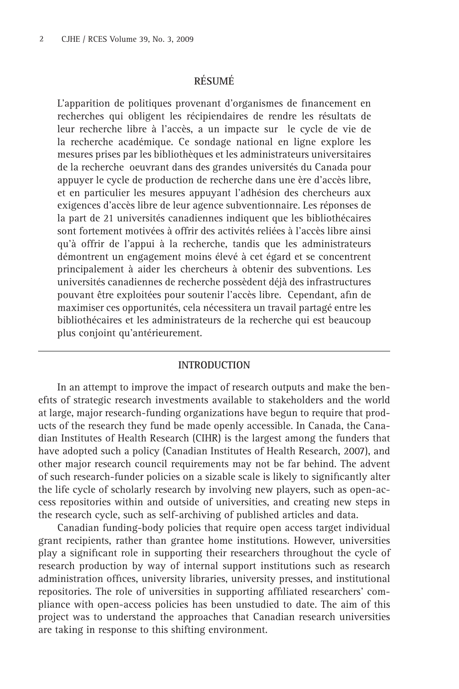# **RÉSUMÉ**

L'apparition de politiques provenant d'organismes de financement en recherches qui obligent les récipiendaires de rendre les résultats de leur recherche libre à l'accès, a un impacte sur le cycle de vie de la recherche académique. Ce sondage national en ligne explore les mesures prises par les bibliothèques et les administrateurs universitaires de la recherche oeuvrant dans des grandes universités du Canada pour appuyer le cycle de production de recherche dans une ère d'accès libre, et en particulier les mesures appuyant l'adhésion des chercheurs aux exigences d'accès libre de leur agence subventionnaire. Les réponses de la part de 21 universités canadiennes indiquent que les bibliothécaires sont fortement motivées à offrir des activités reliées à l'accès libre ainsi qu'à offrir de l'appui à la recherche, tandis que les administrateurs démontrent un engagement moins élevé à cet égard et se concentrent principalement à aider les chercheurs à obtenir des subventions. Les universités canadiennes de recherche possèdent déjà des infrastructures pouvant être exploitées pour soutenir l'accès libre. Cependant, afin de maximiser ces opportunités, cela nécessitera un travail partagé entre les bibliothécaires et les administrateurs de la recherche qui est beaucoup plus conjoint qu'antérieurement.

#### **INTRODUCTION**

In an attempt to improve the impact of research outputs and make the benefits of strategic research investments available to stakeholders and the world at large, major research-funding organizations have begun to require that products of the research they fund be made openly accessible. In Canada, the Canadian Institutes of Health Research (CIHR) is the largest among the funders that have adopted such a policy (Canadian Institutes of Health Research, 2007), and other major research council requirements may not be far behind. The advent of such research-funder policies on a sizable scale is likely to significantly alter the life cycle of scholarly research by involving new players, such as open-access repositories within and outside of universities, and creating new steps in the research cycle, such as self-archiving of published articles and data.

Canadian funding-body policies that require open access target individual grant recipients, rather than grantee home institutions. However, universities play a significant role in supporting their researchers throughout the cycle of research production by way of internal support institutions such as research administration offices, university libraries, university presses, and institutional repositories. The role of universities in supporting affiliated researchers' compliance with open-access policies has been unstudied to date. The aim of this project was to understand the approaches that Canadian research universities are taking in response to this shifting environment.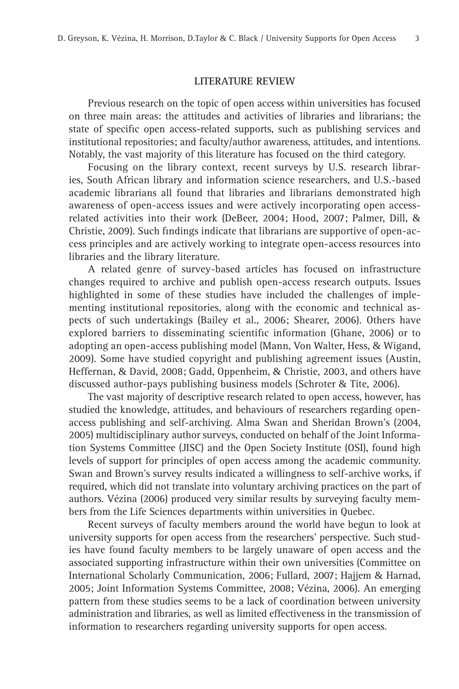#### **LITERATURE REVIEW**

Previous research on the topic of open access within universities has focused on three main areas: the attitudes and activities of libraries and librarians; the state of specific open access-related supports, such as publishing services and institutional repositories; and faculty/author awareness, attitudes, and intentions. Notably, the vast majority of this literature has focused on the third category.

Focusing on the library context, recent surveys by U.S. research libraries, South African library and information science researchers, and U.S.-based academic librarians all found that libraries and librarians demonstrated high awareness of open-access issues and were actively incorporating open accessrelated activities into their work (DeBeer, 2004; Hood, 2007; Palmer, Dill, & Christie, 2009). Such findings indicate that librarians are supportive of open-access principles and are actively working to integrate open-access resources into libraries and the library literature.

A related genre of survey-based articles has focused on infrastructure changes required to archive and publish open-access research outputs. Issues highlighted in some of these studies have included the challenges of implementing institutional repositories, along with the economic and technical aspects of such undertakings (Bailey et al., 2006; Shearer, 2006). Others have explored barriers to disseminating scientific information (Ghane, 2006) or to adopting an open-access publishing model (Mann, Von Walter, Hess, & Wigand, 2009). Some have studied copyright and publishing agreement issues (Austin, Heffernan, & David, 2008; Gadd, Oppenheim, & Christie, 2003, and others have discussed author-pays publishing business models (Schroter & Tite, 2006).

The vast majority of descriptive research related to open access, however, has studied the knowledge, attitudes, and behaviours of researchers regarding openaccess publishing and self-archiving. Alma Swan and Sheridan Brown's (2004, 2005) multidisciplinary author surveys, conducted on behalf of the Joint Information Systems Committee (JISC) and the Open Society Institute (OSI), found high levels of support for principles of open access among the academic community. Swan and Brown's survey results indicated a willingness to self-archive works, if required, which did not translate into voluntary archiving practices on the part of authors. Vézina (2006) produced very similar results by surveying faculty members from the Life Sciences departments within universities in Quebec.

Recent surveys of faculty members around the world have begun to look at university supports for open access from the researchers' perspective. Such studies have found faculty members to be largely unaware of open access and the associated supporting infrastructure within their own universities (Committee on International Scholarly Communication, 2006; Fullard, 2007; Hajjem & Harnad, 2005; Joint Information Systems Committee, 2008; Vézina, 2006). An emerging pattern from these studies seems to be a lack of coordination between university administration and libraries, as well as limited effectiveness in the transmission of information to researchers regarding university supports for open access.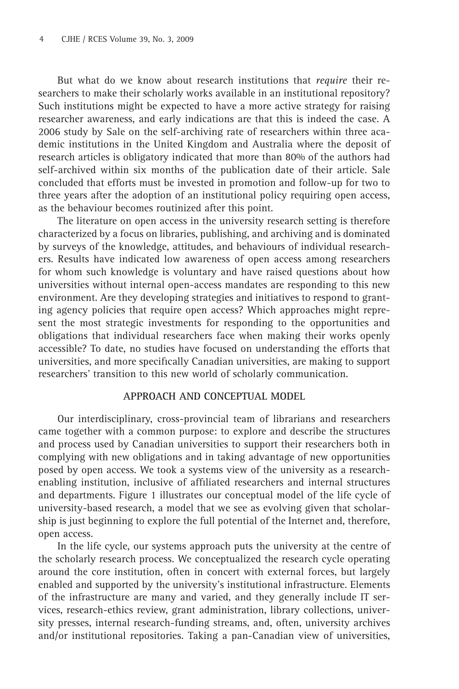But what do we know about research institutions that *require* their researchers to make their scholarly works available in an institutional repository? Such institutions might be expected to have a more active strategy for raising researcher awareness, and early indications are that this is indeed the case. A 2006 study by Sale on the self-archiving rate of researchers within three academic institutions in the United Kingdom and Australia where the deposit of research articles is obligatory indicated that more than 80% of the authors had self-archived within six months of the publication date of their article. Sale concluded that efforts must be invested in promotion and follow-up for two to three years after the adoption of an institutional policy requiring open access, as the behaviour becomes routinized after this point.

The literature on open access in the university research setting is therefore characterized by a focus on libraries, publishing, and archiving and is dominated by surveys of the knowledge, attitudes, and behaviours of individual researchers. Results have indicated low awareness of open access among researchers for whom such knowledge is voluntary and have raised questions about how universities without internal open-access mandates are responding to this new environment. Are they developing strategies and initiatives to respond to granting agency policies that require open access? Which approaches might represent the most strategic investments for responding to the opportunities and obligations that individual researchers face when making their works openly accessible? To date, no studies have focused on understanding the efforts that universities, and more specifically Canadian universities, are making to support researchers' transition to this new world of scholarly communication.

#### **APPROACH AND CONCEPTUAL MODEL**

Our interdisciplinary, cross-provincial team of librarians and researchers came together with a common purpose: to explore and describe the structures and process used by Canadian universities to support their researchers both in complying with new obligations and in taking advantage of new opportunities posed by open access. We took a systems view of the university as a researchenabling institution, inclusive of affiliated researchers and internal structures and departments. Figure 1 illustrates our conceptual model of the life cycle of university-based research, a model that we see as evolving given that scholarship is just beginning to explore the full potential of the Internet and, therefore, open access.

In the life cycle, our systems approach puts the university at the centre of the scholarly research process. We conceptualized the research cycle operating around the core institution, often in concert with external forces, but largely enabled and supported by the university's institutional infrastructure. Elements of the infrastructure are many and varied, and they generally include IT services, research-ethics review, grant administration, library collections, university presses, internal research-funding streams, and, often, university archives and/or institutional repositories. Taking a pan-Canadian view of universities,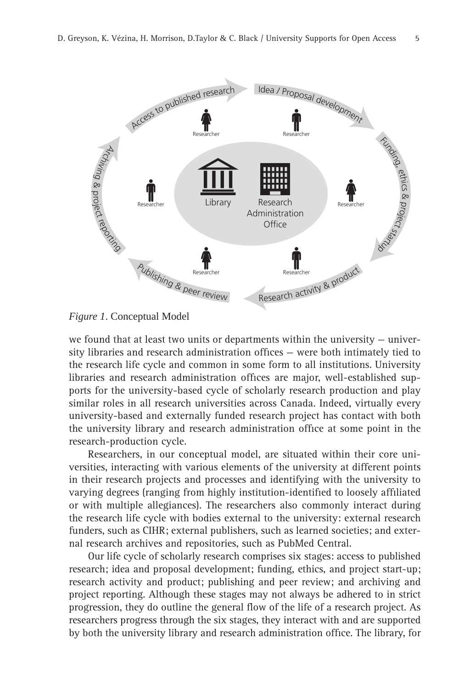

#### *Figure 1*. Conceptual Model

we found that at least two units or departments within the university – university libraries and research administration offices  $-$  were both intimately tied to the research life cycle and common in some form to all institutions. University libraries and research administration offices are major, well-established supports for the university-based cycle of scholarly research production and play similar roles in all research universities across Canada. Indeed, virtually every university-based and externally funded research project has contact with both the university library and research administration office at some point in the research-production cycle.

Researchers, in our conceptual model, are situated within their core universities, interacting with various elements of the university at different points in their research projects and processes and identifying with the university to varying degrees (ranging from highly institution-identified to loosely affiliated or with multiple allegiances). The researchers also commonly interact during the research life cycle with bodies external to the university: external research funders, such as CIHR; external publishers, such as learned societies; and external research archives and repositories, such as PubMed Central.

Our life cycle of scholarly research comprises six stages: access to published research; idea and proposal development; funding, ethics, and project start-up; research activity and product; publishing and peer review; and archiving and project reporting. Although these stages may not always be adhered to in strict progression, they do outline the general flow of the life of a research project. As researchers progress through the six stages, they interact with and are supported by both the university library and research administration office. The library, for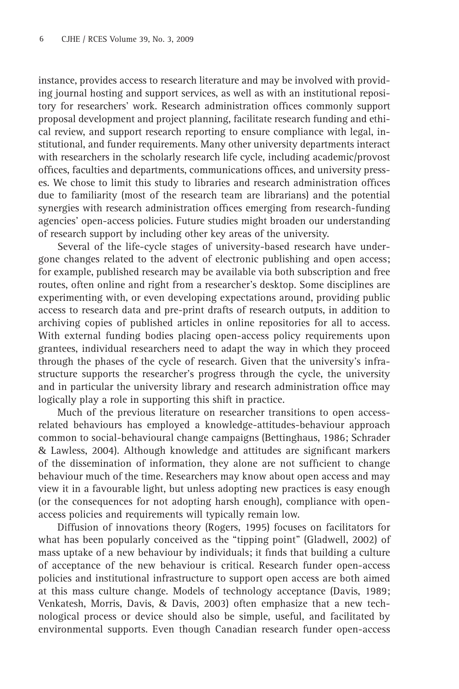instance, provides access to research literature and may be involved with providing journal hosting and support services, as well as with an institutional repository for researchers' work. Research administration offices commonly support proposal development and project planning, facilitate research funding and ethical review, and support research reporting to ensure compliance with legal, institutional, and funder requirements. Many other university departments interact with researchers in the scholarly research life cycle, including academic/provost offices, faculties and departments, communications offices, and university presses. We chose to limit this study to libraries and research administration offices due to familiarity (most of the research team are librarians) and the potential synergies with research administration offices emerging from research-funding agencies' open-access policies. Future studies might broaden our understanding of research support by including other key areas of the university.

Several of the life-cycle stages of university-based research have undergone changes related to the advent of electronic publishing and open access; for example, published research may be available via both subscription and free routes, often online and right from a researcher's desktop. Some disciplines are experimenting with, or even developing expectations around, providing public access to research data and pre-print drafts of research outputs, in addition to archiving copies of published articles in online repositories for all to access. With external funding bodies placing open-access policy requirements upon grantees, individual researchers need to adapt the way in which they proceed through the phases of the cycle of research. Given that the university's infrastructure supports the researcher's progress through the cycle, the university and in particular the university library and research administration office may logically play a role in supporting this shift in practice.

Much of the previous literature on researcher transitions to open accessrelated behaviours has employed a knowledge-attitudes-behaviour approach common to social-behavioural change campaigns (Bettinghaus, 1986; Schrader  $&$  Lawless, 2004). Although knowledge and attitudes are significant markers of the dissemination of information, they alone are not sufficient to change behaviour much of the time. Researchers may know about open access and may view it in a favourable light, but unless adopting new practices is easy enough (or the consequences for not adopting harsh enough), compliance with openaccess policies and requirements will typically remain low.

Diffusion of innovations theory (Rogers, 1995) focuses on facilitators for what has been popularly conceived as the "tipping point" (Gladwell, 2002) of mass uptake of a new behaviour by individuals; it finds that building a culture of acceptance of the new behaviour is critical. Research funder open-access policies and institutional infrastructure to support open access are both aimed at this mass culture change. Models of technology acceptance (Davis, 1989; Venkatesh, Morris, Davis, & Davis, 2003) often emphasize that a new technological process or device should also be simple, useful, and facilitated by environmental supports. Even though Canadian research funder open-access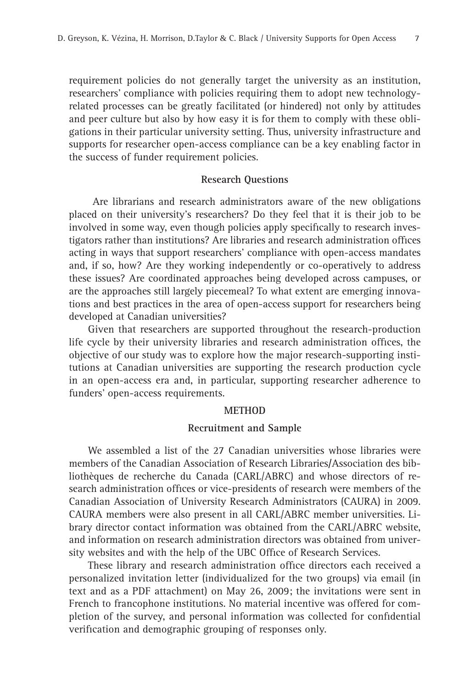requirement policies do not generally target the university as an institution, researchers' compliance with policies requiring them to adopt new technologyrelated processes can be greatly facilitated (or hindered) not only by attitudes and peer culture but also by how easy it is for them to comply with these obligations in their particular university setting. Thus, university infrastructure and supports for researcher open-access compliance can be a key enabling factor in the success of funder requirement policies.

#### **Research Questions**

 Are librarians and research administrators aware of the new obligations placed on their university's researchers? Do they feel that it is their job to be involved in some way, even though policies apply specifically to research investigators rather than institutions? Are libraries and research administration offices acting in ways that support researchers' compliance with open-access mandates and, if so, how? Are they working independently or co-operatively to address these issues? Are coordinated approaches being developed across campuses, or are the approaches still largely piecemeal? To what extent are emerging innovations and best practices in the area of open-access support for researchers being developed at Canadian universities?

Given that researchers are supported throughout the research-production life cycle by their university libraries and research administration offices, the objective of our study was to explore how the major research-supporting institutions at Canadian universities are supporting the research production cycle in an open-access era and, in particular, supporting researcher adherence to funders' open-access requirements.

#### **METHOD**

#### **Recruitment and Sample**

We assembled a list of the 27 Canadian universities whose libraries were members of the Canadian Association of Research Libraries**/**Association des bibliothèques de recherche du Canada (CARL/ABRC) and whose directors of research administration offices or vice-presidents of research were members of the Canadian Association of University Research Administrators (CAURA) in 2009. CAURA members were also present in all CARL/ABRC member universities. Library director contact information was obtained from the CARL/ABRC website, and information on research administration directors was obtained from university websites and with the help of the UBC Office of Research Services.

These library and research administration office directors each received a personalized invitation letter (individualized for the two groups) via email (in text and as a PDF attachment) on May 26, 2009; the invitations were sent in French to francophone institutions. No material incentive was offered for completion of the survey, and personal information was collected for confidential verification and demographic grouping of responses only.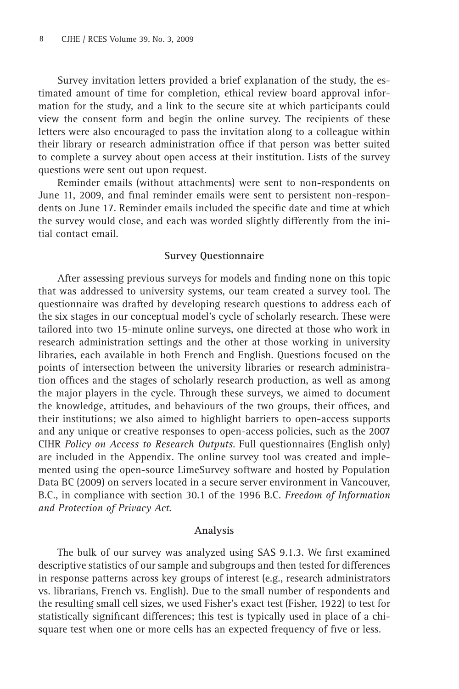Survey invitation letters provided a brief explanation of the study, the estimated amount of time for completion, ethical review board approval information for the study, and a link to the secure site at which participants could view the consent form and begin the online survey. The recipients of these letters were also encouraged to pass the invitation along to a colleague within their library or research administration office if that person was better suited to complete a survey about open access at their institution. Lists of the survey questions were sent out upon request.

Reminder emails (without attachments) were sent to non-respondents on June 11, 2009, and final reminder emails were sent to persistent non-respondents on June 17. Reminder emails included the specific date and time at which the survey would close, and each was worded slightly differently from the initial contact email.

## **Survey Questionnaire**

After assessing previous surveys for models and finding none on this topic that was addressed to university systems, our team created a survey tool. The questionnaire was drafted by developing research questions to address each of the six stages in our conceptual model's cycle of scholarly research. These were tailored into two 15-minute online surveys, one directed at those who work in research administration settings and the other at those working in university libraries, each available in both French and English. Questions focused on the points of intersection between the university libraries or research administration offices and the stages of scholarly research production, as well as among the major players in the cycle. Through these surveys, we aimed to document the knowledge, attitudes, and behaviours of the two groups, their offices, and their institutions; we also aimed to highlight barriers to open-access supports and any unique or creative responses to open-access policies, such as the 2007 CIHR *Policy on Access to Research Outputs*. Full questionnaires (English only) are included in the Appendix. The online survey tool was created and implemented using the open-source LimeSurvey software and hosted by Population Data BC (2009) on servers located in a secure server environment in Vancouver, B.C., in compliance with section 30.1 of the 1996 B.C. *Freedom of Information and Protection of Privacy Act*.

#### **Analysis**

The bulk of our survey was analyzed using SAS 9.1.3. We first examined descriptive statistics of our sample and subgroups and then tested for differences in response patterns across key groups of interest (e.g., research administrators vs. librarians, French vs. English). Due to the small number of respondents and the resulting small cell sizes, we used Fisher's exact test (Fisher, 1922) to test for statistically significant differences; this test is typically used in place of a chisquare test when one or more cells has an expected frequency of five or less.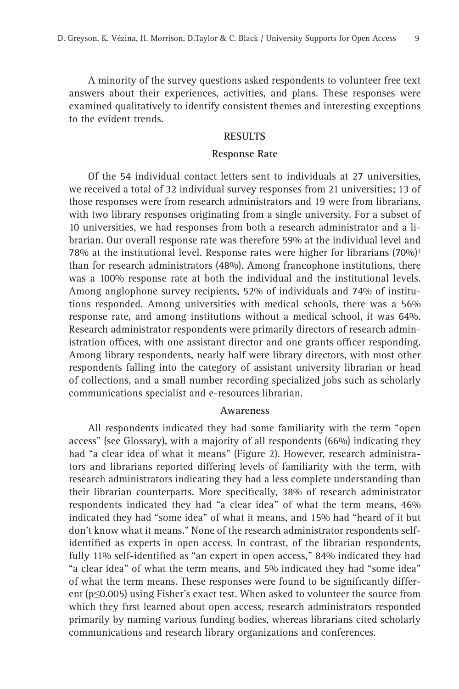A minority of the survey questions asked respondents to volunteer free text answers about their experiences, activities, and plans. These responses were examined qualitatively to identify consistent themes and interesting exceptions to the evident trends.

## **RESULTS**

#### **Response Rate**

Of the 54 individual contact letters sent to individuals at 27 universities, we received a total of 32 individual survey responses from 21 universities; 13 of those responses were from research administrators and 19 were from librarians, with two library responses originating from a single university. For a subset of 10 universities, we had responses from both a research administrator and a librarian. Our overall response rate was therefore 59% at the individual level and 78% at the institutional level. Response rates were higher for librarians  $(70\%)$ <sup>1</sup> than for research administrators (48%). Among francophone institutions, there was a 100% response rate at both the individual and the institutional levels. Among anglophone survey recipients, 52% of individuals and 74% of institutions responded. Among universities with medical schools, there was a 56% response rate, and among institutions without a medical school, it was 64%. Research administrator respondents were primarily directors of research administration offices, with one assistant director and one grants officer responding. Among library respondents, nearly half were library directors, with most other respondents falling into the category of assistant university librarian or head of collections, and a small number recording specialized jobs such as scholarly communications specialist and e-resources librarian.

#### **Awareness**

All respondents indicated they had some familiarity with the term "open access" (see Glossary), with a majority of all respondents (66%) indicating they had "a clear idea of what it means" (Figure 2). However, research administrators and librarians reported differing levels of familiarity with the term, with research administrators indicating they had a less complete understanding than their librarian counterparts. More specifically, 38% of research administrator respondents indicated they had "a clear idea" of what the term means, 46% indicated they had "some idea" of what it means, and 15% had "heard of it but don't know what it means." None of the research administrator respondents selfidentified as experts in open access. In contrast, of the librarian respondents, fully 11% self-identified as "an expert in open access," 84% indicated they had "a clear idea" of what the term means, and 5% indicated they had "some idea" of what the term means. These responses were found to be significantly different (p≤0.005) using Fisher's exact test. When asked to volunteer the source from which they first learned about open access, research administrators responded primarily by naming various funding bodies, whereas librarians cited scholarly communications and research library organizations and conferences.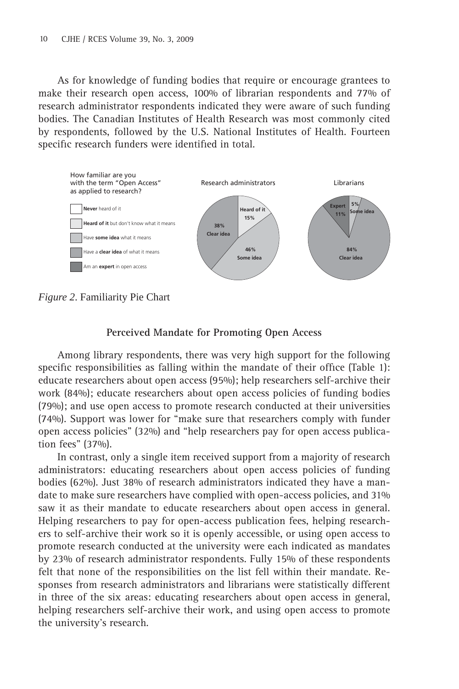As for knowledge of funding bodies that require or encourage grantees to make their research open access, 100% of librarian respondents and 77% of research administrator respondents indicated they were aware of such funding bodies. The Canadian Institutes of Health Research was most commonly cited by respondents, followed by the U.S. National Institutes of Health. Fourteen specific research funders were identified in total.



*Figure 2*. Familiarity Pie Chart

# **Perceived Mandate for Promoting Open Access**

Among library respondents, there was very high support for the following specific responsibilities as falling within the mandate of their office (Table 1): educate researchers about open access (95%); help researchers self-archive their work (84%); educate researchers about open access policies of funding bodies (79%); and use open access to promote research conducted at their universities (74%). Support was lower for "make sure that researchers comply with funder open access policies" (32%) and "help researchers pay for open access publication fees" (37%).

In contrast, only a single item received support from a majority of research administrators: educating researchers about open access policies of funding bodies (62%). Just 38% of research administrators indicated they have a mandate to make sure researchers have complied with open-access policies, and 31% saw it as their mandate to educate researchers about open access in general. Helping researchers to pay for open-access publication fees, helping researchers to self-archive their work so it is openly accessible, or using open access to promote research conducted at the university were each indicated as mandates by 23% of research administrator respondents. Fully 15% of these respondents felt that none of the responsibilities on the list fell within their mandate. Responses from research administrators and librarians were statistically different in three of the six areas: educating researchers about open access in general, helping researchers self-archive their work, and using open access to promote the university's research.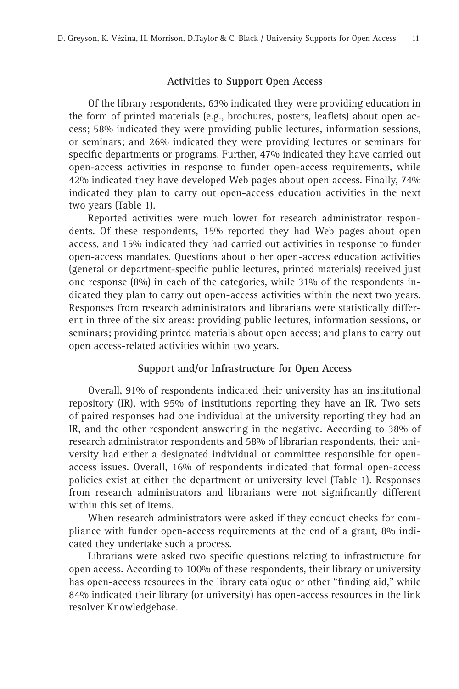#### **Activities to Support Open Access**

Of the library respondents, 63% indicated they were providing education in the form of printed materials (e.g., brochures, posters, leaflets) about open access; 58% indicated they were providing public lectures, information sessions, or seminars; and 26% indicated they were providing lectures or seminars for specific departments or programs. Further, 47% indicated they have carried out open-access activities in response to funder open-access requirements, while 42% indicated they have developed Web pages about open access. Finally, 74% indicated they plan to carry out open-access education activities in the next two years (Table 1).

Reported activities were much lower for research administrator respondents. Of these respondents, 15% reported they had Web pages about open access, and 15% indicated they had carried out activities in response to funder open-access mandates. Questions about other open-access education activities (general or department-specific public lectures, printed materials) received just one response (8%) in each of the categories, while 31% of the respondents indicated they plan to carry out open-access activities within the next two years. Responses from research administrators and librarians were statistically different in three of the six areas: providing public lectures, information sessions, or seminars; providing printed materials about open access; and plans to carry out open access-related activities within two years.

#### **Support and/or Infrastructure for Open Access**

Overall, 91% of respondents indicated their university has an institutional repository (IR), with 95% of institutions reporting they have an IR. Two sets of paired responses had one individual at the university reporting they had an IR, and the other respondent answering in the negative. According to 38% of research administrator respondents and 58% of librarian respondents, their university had either a designated individual or committee responsible for openaccess issues. Overall, 16% of respondents indicated that formal open-access policies exist at either the department or university level (Table 1). Responses from research administrators and librarians were not significantly different within this set of items.

When research administrators were asked if they conduct checks for compliance with funder open-access requirements at the end of a grant, 8% indicated they undertake such a process.

Librarians were asked two specific questions relating to infrastructure for open access. According to 100% of these respondents, their library or university has open-access resources in the library catalogue or other "finding aid," while 84% indicated their library (or university) has open-access resources in the link resolver Knowledgebase.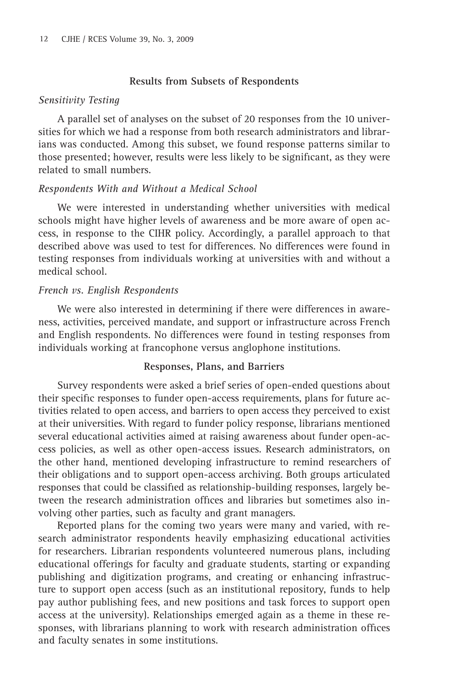#### **Results from Subsets of Respondents**

#### *Sensitivity Testing*

A parallel set of analyses on the subset of 20 responses from the 10 universities for which we had a response from both research administrators and librarians was conducted. Among this subset, we found response patterns similar to those presented; however, results were less likely to be significant, as they were related to small numbers.

#### *Respondents With and Without a Medical School*

We were interested in understanding whether universities with medical schools might have higher levels of awareness and be more aware of open access, in response to the CIHR policy. Accordingly, a parallel approach to that described above was used to test for differences. No differences were found in testing responses from individuals working at universities with and without a medical school.

### *French vs. English Respondents*

We were also interested in determining if there were differences in awareness, activities, perceived mandate, and support or infrastructure across French and English respondents. No differences were found in testing responses from individuals working at francophone versus anglophone institutions.

## **Responses, Plans, and Barriers**

Survey respondents were asked a brief series of open-ended questions about their specific responses to funder open-access requirements, plans for future activities related to open access, and barriers to open access they perceived to exist at their universities. With regard to funder policy response, librarians mentioned several educational activities aimed at raising awareness about funder open-access policies, as well as other open-access issues. Research administrators, on the other hand, mentioned developing infrastructure to remind researchers of their obligations and to support open-access archiving. Both groups articulated responses that could be classified as relationship-building responses, largely between the research administration offices and libraries but sometimes also involving other parties, such as faculty and grant managers.

Reported plans for the coming two years were many and varied, with research administrator respondents heavily emphasizing educational activities for researchers. Librarian respondents volunteered numerous plans, including educational offerings for faculty and graduate students, starting or expanding publishing and digitization programs, and creating or enhancing infrastructure to support open access (such as an institutional repository, funds to help pay author publishing fees, and new positions and task forces to support open access at the university). Relationships emerged again as a theme in these responses, with librarians planning to work with research administration offices and faculty senates in some institutions.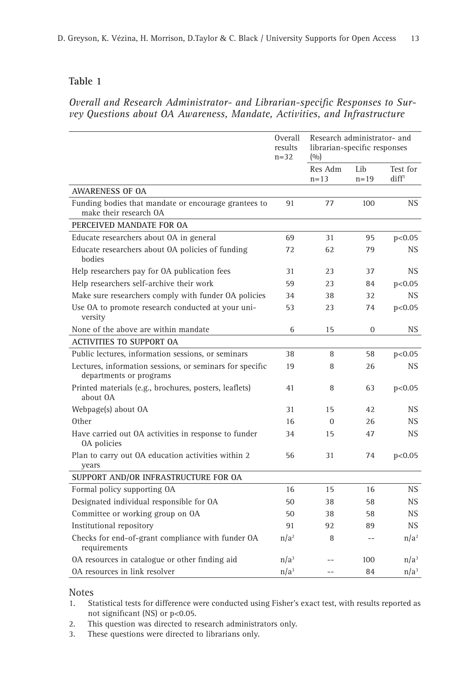## **Table 1**

## Overall and Research Administrator- and Librarian-specific Responses to Sur*vey Questions about OA Awareness, Mandate, Activities, and Infrastructure*

|                                                                                     | <b>Overall</b><br>results<br>$n=32$ | Research administrator- and<br>librarian-specific responses<br>(0/0) |                 |                               |
|-------------------------------------------------------------------------------------|-------------------------------------|----------------------------------------------------------------------|-----------------|-------------------------------|
|                                                                                     |                                     | Res Adm<br>$n = 13$                                                  | Lib<br>$n = 19$ | Test for<br>diff <sup>1</sup> |
| <b>AWARENESS OF OA</b>                                                              |                                     |                                                                      |                 |                               |
| Funding bodies that mandate or encourage grantees to<br>make their research OA      | 91                                  | 77                                                                   | 100             | NS.                           |
| PERCEIVED MANDATE FOR OA                                                            |                                     |                                                                      |                 |                               |
| Educate researchers about OA in general                                             | 69                                  | 31                                                                   | 95              | p<0.05                        |
| Educate researchers about OA policies of funding<br>bodies                          | 72                                  | 62                                                                   | 79              | <b>NS</b>                     |
| Help researchers pay for OA publication fees                                        | 31                                  | 23                                                                   | 37              | NS.                           |
| Help researchers self-archive their work                                            | 59                                  | 23                                                                   | 84              | p<0.05                        |
| Make sure researchers comply with funder OA policies                                | 34                                  | 38                                                                   | 32              | <b>NS</b>                     |
| Use OA to promote research conducted at your uni-<br>versity                        | 53                                  | 23                                                                   | 74              | p<0.05                        |
| None of the above are within mandate                                                | 6                                   | 15                                                                   | $\overline{0}$  | <b>NS</b>                     |
| <b>ACTIVITIES TO SUPPORT OA</b>                                                     |                                     |                                                                      |                 |                               |
| Public lectures, information sessions, or seminars                                  | 38                                  | 8                                                                    | 58              | p<0.05                        |
| Lectures, information sessions, or seminars for specific<br>departments or programs | 19                                  | 8                                                                    | 26              | <b>NS</b>                     |
| Printed materials (e.g., brochures, posters, leaflets)<br>about OA                  | 41                                  | 8                                                                    | 63              | p<0.05                        |
| Webpage(s) about OA                                                                 | 31                                  | 15                                                                   | 42              | NS.                           |
| Other                                                                               | 16                                  | $\Omega$                                                             | 26              | NS.                           |
| Have carried out OA activities in response to funder<br><b>0A</b> policies          | 34                                  | 15                                                                   | 47              | NS.                           |
| Plan to carry out OA education activities within 2<br>years                         | 56                                  | 31                                                                   | 74              | p<0.05                        |
| SUPPORT AND/OR INFRASTRUCTURE FOR OA                                                |                                     |                                                                      |                 |                               |
| Formal policy supporting OA                                                         | 16                                  | 15                                                                   | 16              | NS.                           |
| Designated individual responsible for OA                                            | 50                                  | 38                                                                   | 58              | NS.                           |
| Committee or working group on OA                                                    | 50                                  | 38                                                                   | 58              | NS.                           |
| Institutional repository                                                            | 91                                  | 92                                                                   | 89              | <b>NS</b>                     |
| Checks for end-of-grant compliance with funder OA<br>requirements                   | $n/a^2$                             | 8                                                                    |                 | $n/a^2$                       |
| OA resources in catalogue or other finding aid                                      | n/a <sup>3</sup>                    |                                                                      | 100             | $n/a^3$                       |
| 0A resources in link resolver                                                       | $n/a^3$                             |                                                                      | 84              | $n/a^3$                       |

# Notes<br>1. St

- Statistical tests for difference were conducted using Fisher's exact test, with results reported as not significant (NS) or p<0.05.
- 2. This question was directed to research administrators only.
- 3. These questions were directed to librarians only.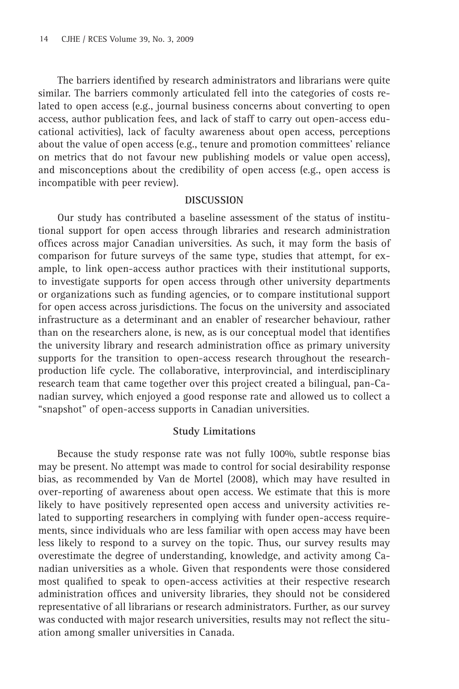The barriers identified by research administrators and librarians were quite similar. The barriers commonly articulated fell into the categories of costs related to open access (e.g., journal business concerns about converting to open access, author publication fees, and lack of staff to carry out open-access educational activities), lack of faculty awareness about open access, perceptions about the value of open access (e.g., tenure and promotion committees' reliance on metrics that do not favour new publishing models or value open access), and misconceptions about the credibility of open access (e.g., open access is incompatible with peer review).

#### **DISCUSSION**

Our study has contributed a baseline assessment of the status of institutional support for open access through libraries and research administration offices across major Canadian universities. As such, it may form the basis of comparison for future surveys of the same type, studies that attempt, for example, to link open-access author practices with their institutional supports, to investigate supports for open access through other university departments or organizations such as funding agencies, or to compare institutional support for open access across jurisdictions. The focus on the university and associated infrastructure as a determinant and an enabler of researcher behaviour, rather than on the researchers alone, is new, as is our conceptual model that identifies the university library and research administration office as primary university supports for the transition to open-access research throughout the researchproduction life cycle. The collaborative, interprovincial, and interdisciplinary research team that came together over this project created a bilingual, pan-Canadian survey, which enjoyed a good response rate and allowed us to collect a "snapshot" of open-access supports in Canadian universities.

#### **Study Limitations**

Because the study response rate was not fully 100%, subtle response bias may be present. No attempt was made to control for social desirability response bias, as recommended by Van de Mortel (2008), which may have resulted in over-reporting of awareness about open access. We estimate that this is more likely to have positively represented open access and university activities related to supporting researchers in complying with funder open-access requirements, since individuals who are less familiar with open access may have been less likely to respond to a survey on the topic. Thus, our survey results may overestimate the degree of understanding, knowledge, and activity among Canadian universities as a whole. Given that respondents were those considered most qualified to speak to open-access activities at their respective research administration offices and university libraries, they should not be considered representative of all librarians or research administrators. Further, as our survey was conducted with major research universities, results may not reflect the situation among smaller universities in Canada.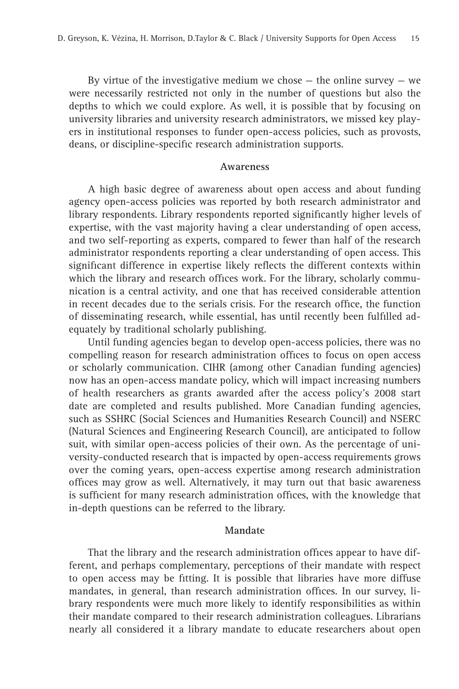By virtue of the investigative medium we chose  $-$  the online survey  $-$  we were necessarily restricted not only in the number of questions but also the depths to which we could explore. As well, it is possible that by focusing on university libraries and university research administrators, we missed key players in institutional responses to funder open-access policies, such as provosts, deans, or discipline-specific research administration supports.

#### **Awareness**

A high basic degree of awareness about open access and about funding agency open-access policies was reported by both research administrator and library respondents. Library respondents reported significantly higher levels of expertise, with the vast majority having a clear understanding of open access, and two self-reporting as experts, compared to fewer than half of the research administrator respondents reporting a clear understanding of open access. This significant difference in expertise likely reflects the different contexts within which the library and research offices work. For the library, scholarly communication is a central activity, and one that has received considerable attention in recent decades due to the serials crisis. For the research office, the function of disseminating research, while essential, has until recently been fulfilled adequately by traditional scholarly publishing.

Until funding agencies began to develop open-access policies, there was no compelling reason for research administration offices to focus on open access or scholarly communication. CIHR (among other Canadian funding agencies) now has an open-access mandate policy, which will impact increasing numbers of health researchers as grants awarded after the access policy's 2008 start date are completed and results published. More Canadian funding agencies, such as SSHRC (Social Sciences and Humanities Research Council) and NSERC (Natural Sciences and Engineering Research Council), are anticipated to follow suit, with similar open-access policies of their own. As the percentage of university-conducted research that is impacted by open-access requirements grows over the coming years, open-access expertise among research administration offices may grow as well. Alternatively, it may turn out that basic awareness is sufficient for many research administration offices, with the knowledge that in-depth questions can be referred to the library.

#### **Mandate**

That the library and the research administration offices appear to have different, and perhaps complementary, perceptions of their mandate with respect to open access may be fitting. It is possible that libraries have more diffuse mandates, in general, than research administration offices. In our survey, library respondents were much more likely to identify responsibilities as within their mandate compared to their research administration colleagues. Librarians nearly all considered it a library mandate to educate researchers about open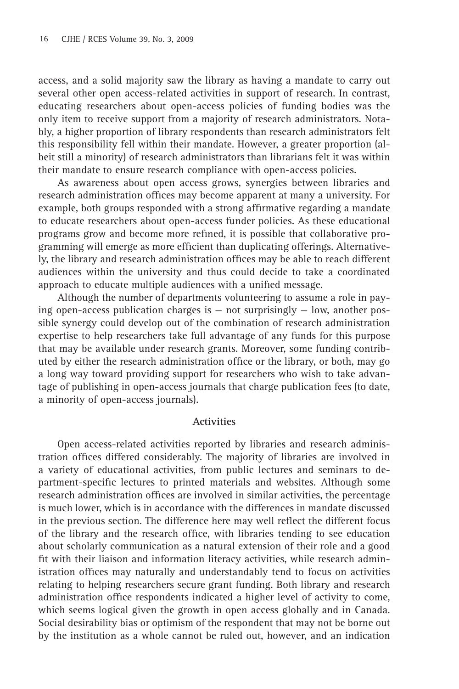access, and a solid majority saw the library as having a mandate to carry out several other open access-related activities in support of research. In contrast, educating researchers about open-access policies of funding bodies was the only item to receive support from a majority of research administrators. Notably, a higher proportion of library respondents than research administrators felt this responsibility fell within their mandate. However, a greater proportion (albeit still a minority) of research administrators than librarians felt it was within their mandate to ensure research compliance with open-access policies.

As awareness about open access grows, synergies between libraries and research administration offices may become apparent at many a university. For example, both groups responded with a strong affirmative regarding a mandate to educate researchers about open-access funder policies. As these educational programs grow and become more refined, it is possible that collaborative programming will emerge as more efficient than duplicating offerings. Alternatively, the library and research administration offices may be able to reach different audiences within the university and thus could decide to take a coordinated approach to educate multiple audiences with a unified message.

Although the number of departments volunteering to assume a role in paying open-access publication charges is — not surprisingly — low, another possible synergy could develop out of the combination of research administration expertise to help researchers take full advantage of any funds for this purpose that may be available under research grants. Moreover, some funding contributed by either the research administration office or the library, or both, may go a long way toward providing support for researchers who wish to take advantage of publishing in open-access journals that charge publication fees (to date, a minority of open-access journals).

#### **Activities**

Open access-related activities reported by libraries and research administration offices differed considerably. The majority of libraries are involved in a variety of educational activities, from public lectures and seminars to department-specific lectures to printed materials and websites. Although some research administration offices are involved in similar activities, the percentage is much lower, which is in accordance with the differences in mandate discussed in the previous section. The difference here may well reflect the different focus of the library and the research office, with libraries tending to see education about scholarly communication as a natural extension of their role and a good fit with their liaison and information literacy activities, while research administration offices may naturally and understandably tend to focus on activities relating to helping researchers secure grant funding. Both library and research administration office respondents indicated a higher level of activity to come, which seems logical given the growth in open access globally and in Canada. Social desirability bias or optimism of the respondent that may not be borne out by the institution as a whole cannot be ruled out, however, and an indication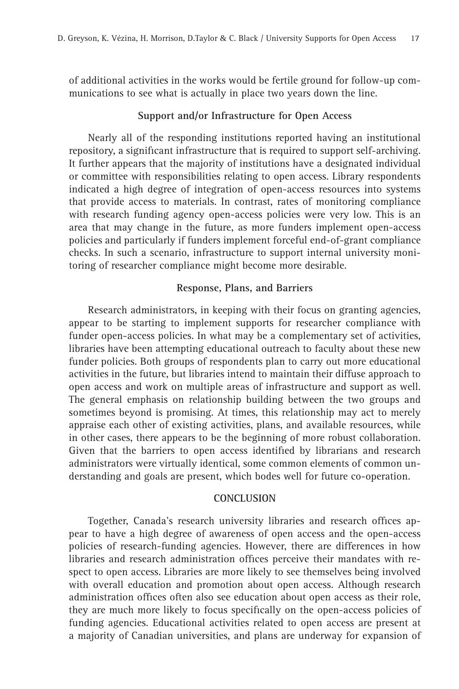of additional activities in the works would be fertile ground for follow-up communications to see what is actually in place two years down the line.

## **Support and/or Infrastructure for Open Access**

Nearly all of the responding institutions reported having an institutional repository, a significant infrastructure that is required to support self-archiving. It further appears that the majority of institutions have a designated individual or committee with responsibilities relating to open access. Library respondents indicated a high degree of integration of open-access resources into systems that provide access to materials. In contrast, rates of monitoring compliance with research funding agency open-access policies were very low. This is an area that may change in the future, as more funders implement open-access policies and particularly if funders implement forceful end-of-grant compliance checks. In such a scenario, infrastructure to support internal university monitoring of researcher compliance might become more desirable.

## **Response, Plans, and Barriers**

Research administrators, in keeping with their focus on granting agencies, appear to be starting to implement supports for researcher compliance with funder open-access policies. In what may be a complementary set of activities, libraries have been attempting educational outreach to faculty about these new funder policies. Both groups of respondents plan to carry out more educational activities in the future, but libraries intend to maintain their diffuse approach to open access and work on multiple areas of infrastructure and support as well. The general emphasis on relationship building between the two groups and sometimes beyond is promising. At times, this relationship may act to merely appraise each other of existing activities, plans, and available resources, while in other cases, there appears to be the beginning of more robust collaboration. Given that the barriers to open access identified by librarians and research administrators were virtually identical, some common elements of common understanding and goals are present, which bodes well for future co-operation.

#### **CONCLUSION**

Together, Canada's research university libraries and research offices appear to have a high degree of awareness of open access and the open-access policies of research-funding agencies. However, there are differences in how libraries and research administration offices perceive their mandates with respect to open access. Libraries are more likely to see themselves being involved with overall education and promotion about open access. Although research administration offices often also see education about open access as their role, they are much more likely to focus specifically on the open-access policies of funding agencies. Educational activities related to open access are present at a majority of Canadian universities, and plans are underway for expansion of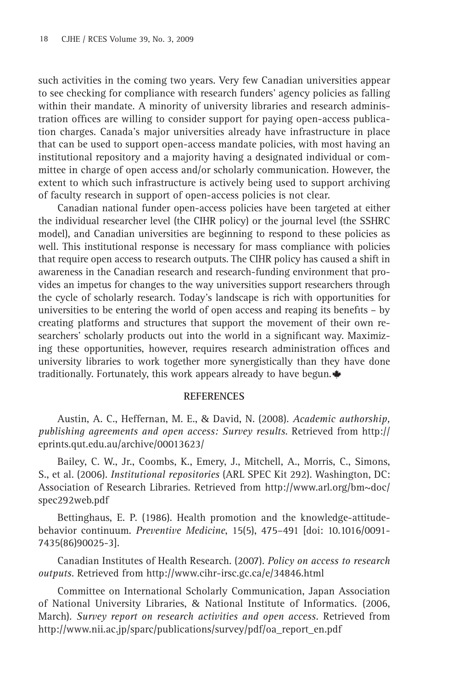such activities in the coming two years. Very few Canadian universities appear to see checking for compliance with research funders' agency policies as falling within their mandate. A minority of university libraries and research administration offices are willing to consider support for paying open-access publication charges. Canada's major universities already have infrastructure in place that can be used to support open-access mandate policies, with most having an institutional repository and a majority having a designated individual or committee in charge of open access and/or scholarly communication. However, the extent to which such infrastructure is actively being used to support archiving of faculty research in support of open-access policies is not clear.

Canadian national funder open-access policies have been targeted at either the individual researcher level (the CIHR policy) or the journal level (the SSHRC model), and Canadian universities are beginning to respond to these policies as well. This institutional response is necessary for mass compliance with policies that require open access to research outputs. The CIHR policy has caused a shift in awareness in the Canadian research and research-funding environment that provides an impetus for changes to the way universities support researchers through the cycle of scholarly research. Today's landscape is rich with opportunities for universities to be entering the world of open access and reaping its benefits  $-$  by creating platforms and structures that support the movement of their own researchers' scholarly products out into the world in a significant way. Maximizing these opportunities, however, requires research administration offices and university libraries to work together more synergistically than they have done traditionally. Fortunately, this work appears already to have begun.  $\triangleq$ 

## **REFERENCES**

Austin, A. C., Heffernan, M. E., & David, N. (2008). *Academic authorship, publishing agreements and open access: Survey results*. Retrieved from http:// eprints.qut.edu.au/archive/00013623/

Bailey, C. W., Jr., Coombs, K., Emery, J., Mitchell, A., Morris, C., Simons, S., et al. (2006). *Institutional repositories* (ARL SPEC Kit 292). Washington, DC: Association of Research Libraries. Retrieved from http://www.arl.org/bm~doc/ spec292web.pdf

Bettinghaus, E. P. (1986). Health promotion and the knowledge-attitudebehavior continuum. *Preventive Medicine*, 15(5), 475–491 [doi: 10.1016/0091- 7435(86)90025-3].

Canadian Institutes of Health Research. (2007). *Policy on access to research outputs*. Retrieved from http://www.cihr-irsc.gc.ca/e/34846.html

Committee on International Scholarly Communication, Japan Association of National University Libraries, & National Institute of Informatics*.* (2006, March). *Survey report on research activities and open access.* Retrieved from http://www.nii.ac.jp/sparc/publications/survey/pdf/oa\_report\_en.pdf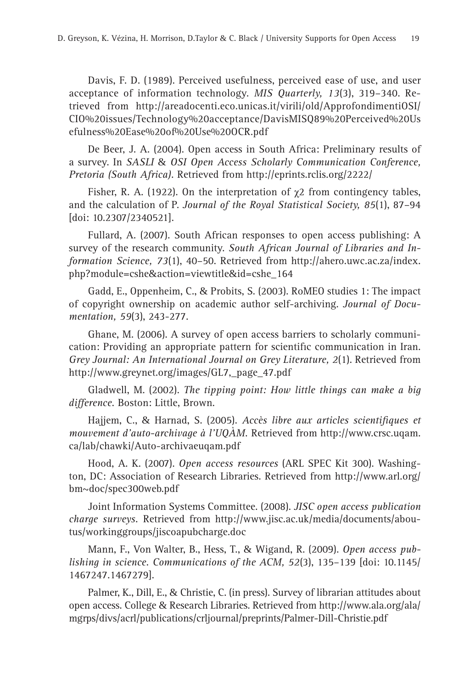Davis, F. D. (1989). Perceived usefulness, perceived ease of use, and user acceptance of information technology. *MIS Quarterly, 13*(3), 319–340. Retrieved from http://areadocenti.eco.unicas.it/virili/old/ApprofondimentiOSI/ CIO%20issues/Technology%20acceptance/DavisMISQ89%20Perceived%20Us efulness%20Ease%20of%20Use%20OCR.pdf

De Beer, J. A. (2004). Open access in South Africa: Preliminary results of a survey. In *SASLI* & *OSI Open Access Scholarly Communication Conference, Pretoria (South Africa).* Retrieved from http://eprints.rclis.org/2222/

Fisher, R. A. (1922). On the interpretation of  $\gamma$ 2 from contingency tables, and the calculation of P. *Journal of the Royal Statistical Society, 85*(1), 87–94 [doi: 10.2307/2340521].

Fullard, A. (2007). South African responses to open access publishing: A survey of the research community. *South African Journal of Libraries and Information Science, 73*(1), 40–50. Retrieved from http://ahero.uwc.ac.za/index. php?module=cshe&action=viewtitle&id=cshe\_164

Gadd, E., Oppenheim, C., & Probits, S. (2003). RoMEO studies 1: The impact of copyright ownership on academic author self-archiving. *Journal of Documentation, 59*(3), 243-277.

Ghane, M. (2006). A survey of open access barriers to scholarly communication: Providing an appropriate pattern for scientific communication in Iran. *Grey Journal: An International Journal on Grey Literature, 2*(1). Retrieved from http://www.greynet.org/images/GL7,\_page\_47.pdf

Gladwell, M. (2002). *The tipping point: How little things can make a big difference.* Boston: Little, Brown.

Hajjem, C., & Harnad, S. (2005). Accès libre aux articles scientifiques et *mouvement d'auto-archivage à l'UQÀM.* Retrieved from http://www.crsc.uqam. ca/lab/chawki/Auto-archivaeuqam.pdf

Hood, A. K. (2007). *Open access resources* (ARL SPEC Kit 300). Washington, DC: Association of Research Libraries. Retrieved from http://www.arl.org/ bm~doc/spec300web.pdf

Joint Information Systems Committee. (2008). *JISC open access publication charge surveys.* Retrieved from http://www.jisc.ac.uk/media/documents/aboutus/workinggroups/jiscoapubcharge.doc

Mann, F., Von Walter, B., Hess, T., & Wigand, R. (2009). *Open access publishing in science. Communications of the ACM, 52*(3), 135–139 [doi: 10.1145/ 1467247.1467279].

Palmer, K., Dill, E., & Christie, C. (in press). Survey of librarian attitudes about open access. College & Research Libraries. Retrieved from http://www.ala.org/ala/ mgrps/divs/acrl/publications/crljournal/preprints/Palmer-Dill-Christie.pdf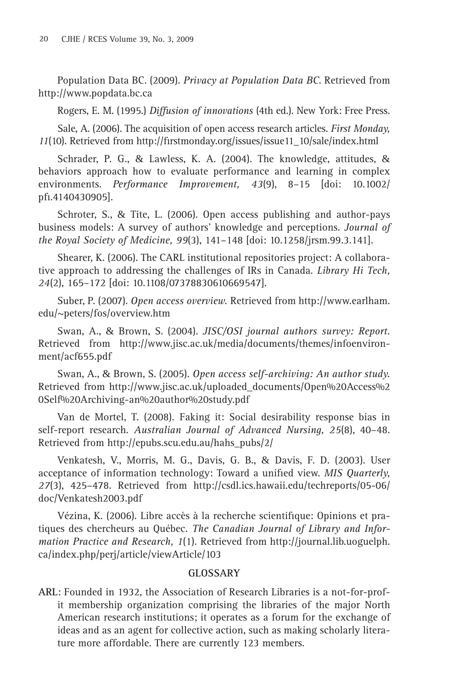Population Data BC. (2009). *Privacy at Population Data BC*. Retrieved from http://www.popdata.bc.ca

Rogers, E. M. (1995.) *Diffusion of innovations* (4th ed.). New York: Free Press.

Sale, A. (2006). The acquisition of open access research articles. *First Monday,*  11(10). Retrieved from http://firstmonday.org/issues/issue11\_10/sale/index.html

Schrader, P. G., & Lawless, K. A. (2004). The knowledge, attitudes, & behaviors approach how to evaluate performance and learning in complex environments. *Performance Improvement, 43*(9), 8–15 [doi: 10.1002/ pfi.4140430905].

Schroter, S., & Tite, L. (2006). Open access publishing and author-pays business models: A survey of authors' knowledge and perceptions. *Journal of the Royal Society of Medicine, 99*(3), 141–148 [doi: 10.1258/jrsm.99.3.141].

Shearer, K. (2006). The CARL institutional repositories project: A collaborative approach to addressing the challenges of IRs in Canada. *Library Hi Tech, 24*(2), 165–172 [doi: 10.1108/07378830610669547].

Suber, P. (2007). *Open access overview.* Retrieved from http://www.earlham. edu/~peters/fos/overview.htm

Swan, A., & Brown, S. (2004). *JISC/OSI journal authors survey: Report.*  Retrieved from http://www.jisc.ac.uk/media/documents/themes/infoenvironment/acf655.pdf

Swan, A., & Brown, S. (2005). *Open access self-archiving: An author study.*  Retrieved from http://www.jisc.ac.uk/uploaded\_documents/Open%20Access%2 0Self%20Archiving-an%20author%20study.pdf

Van de Mortel, T. (2008). Faking it: Social desirability response bias in self-report research. *Australian Journal of Advanced Nursing, 25*(8), 40–48. Retrieved from http://epubs.scu.edu.au/hahs\_pubs/2/

Venkatesh, V., Morris, M. G., Davis, G. B., & Davis, F. D. (2003). User acceptance of information technology: Toward a unified view. *MIS Quarterly*, *27*(3), 425–478. Retrieved from http://csdl.ics.hawaii.edu/techreports/05-06/ doc/Venkatesh2003.pdf

Vézina, K. (2006). Libre accès à la recherche scientifique: Opinions et pratiques des chercheurs au Québec*. The Canadian Journal of Library and Information Practice and Research, 1*(1). Retrieved from http://journal.lib.uoguelph. ca/index.php/perj/article/viewArticle/103

## **GLOSSARY**

**ARL**: Founded in 1932, the Association of Research Libraries is a not-for-profit membership organization comprising the libraries of the major North American research institutions; it operates as a forum for the exchange of ideas and as an agent for collective action, such as making scholarly literature more affordable. There are currently 123 members.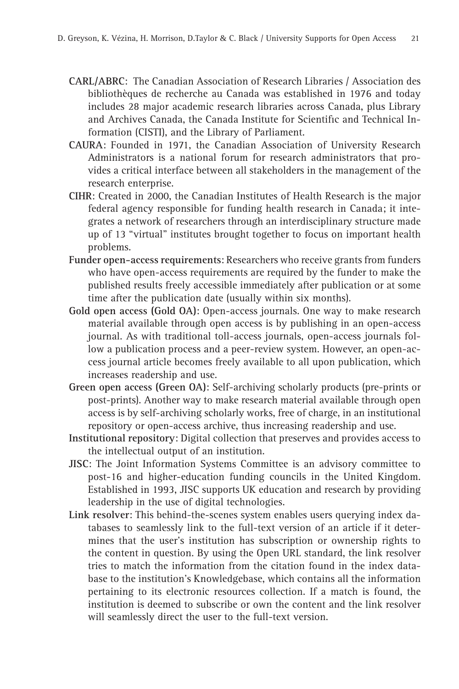- **CARL/ABRC**: The Canadian Association of Research Libraries / Association des bibliothèques de recherche au Canada was established in 1976 and today includes 28 major academic research libraries across Canada, plus Library and Archives Canada, the Canada Institute for Scientific and Technical Information (CISTI), and the Library of Parliament.
- **CAURA**: Founded in 1971, the Canadian Association of University Research Administrators is a national forum for research administrators that provides a critical interface between all stakeholders in the management of the research enterprise.
- **CIHR**: Created in 2000, the Canadian Institutes of Health Research is the major federal agency responsible for funding health research in Canada; it integrates a network of researchers through an interdisciplinary structure made up of 13 "virtual" institutes brought together to focus on important health problems.
- **Funder open-access requirements**: Researchers who receive grants from funders who have open-access requirements are required by the funder to make the published results freely accessible immediately after publication or at some time after the publication date (usually within six months).
- **Gold open access (Gold OA)**: Open-access journals. One way to make research material available through open access is by publishing in an open-access journal. As with traditional toll-access journals, open-access journals follow a publication process and a peer-review system. However, an open-access journal article becomes freely available to all upon publication, which increases readership and use.
- **Green open access (Green OA)**: Self-archiving scholarly products (pre-prints or post-prints). Another way to make research material available through open access is by self-archiving scholarly works, free of charge, in an institutional repository or open-access archive, thus increasing readership and use.
- **Institutional repository**: Digital collection that preserves and provides access to the intellectual output of an institution.
- **JISC**: The Joint Information Systems Committee is an advisory committee to post-16 and higher-education funding councils in the United Kingdom. Established in 1993, JISC supports UK education and research by providing leadership in the use of digital technologies.
- **Link resolver**: This behind-the-scenes system enables users querying index databases to seamlessly link to the full-text version of an article if it determines that the user's institution has subscription or ownership rights to the content in question. By using the Open URL standard, the link resolver tries to match the information from the citation found in the index database to the institution's Knowledgebase, which contains all the information pertaining to its electronic resources collection. If a match is found, the institution is deemed to subscribe or own the content and the link resolver will seamlessly direct the user to the full-text version.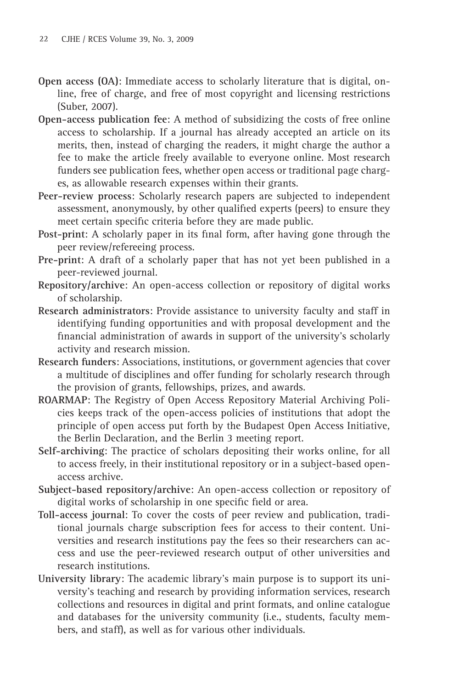- **Open access (OA)**: Immediate access to scholarly literature that is digital, online, free of charge, and free of most copyright and licensing restrictions (Suber, 2007).
- **Open-access publication fee**: A method of subsidizing the costs of free online access to scholarship. If a journal has already accepted an article on its merits, then, instead of charging the readers, it might charge the author a fee to make the article freely available to everyone online. Most research funders see publication fees, whether open access or traditional page charges, as allowable research expenses within their grants.
- **Peer-review process**: Scholarly research papers are subjected to independent assessment, anonymously, by other qualified experts (peers) to ensure they meet certain specific criteria before they are made public.
- Post-print: A scholarly paper in its final form, after having gone through the peer review/refereeing process.
- **Pre-print**: A draft of a scholarly paper that has not yet been published in a peer-reviewed journal.
- **Repository/archive**: An open-access collection or repository of digital works of scholarship.
- **Research administrators**: Provide assistance to university faculty and staff in identifying funding opportunities and with proposal development and the financial administration of awards in support of the university's scholarly activity and research mission.
- **Research funders**: Associations, institutions, or government agencies that cover a multitude of disciplines and offer funding for scholarly research through the provision of grants, fellowships, prizes, and awards.
- **ROARMAP**: The Registry of Open Access Repository Material Archiving Policies keeps track of the open-access policies of institutions that adopt the principle of open access put forth by the Budapest Open Access Initiative*,* the Berlin Declaration, and the Berlin 3 meeting report.
- **Self-archiving**: The practice of scholars depositing their works online, for all to access freely, in their institutional repository or in a subject-based openaccess archive.
- **Subject-based repository/archive**: An open-access collection or repository of digital works of scholarship in one specific field or area.
- **Toll-access journal**: To cover the costs of peer review and publication, traditional journals charge subscription fees for access to their content. Universities and research institutions pay the fees so their researchers can access and use the peer-reviewed research output of other universities and research institutions.
- **University library**: The academic library's main purpose is to support its university's teaching and research by providing information services, research collections and resources in digital and print formats, and online catalogue and databases for the university community (i.e., students, faculty members, and staff), as well as for various other individuals.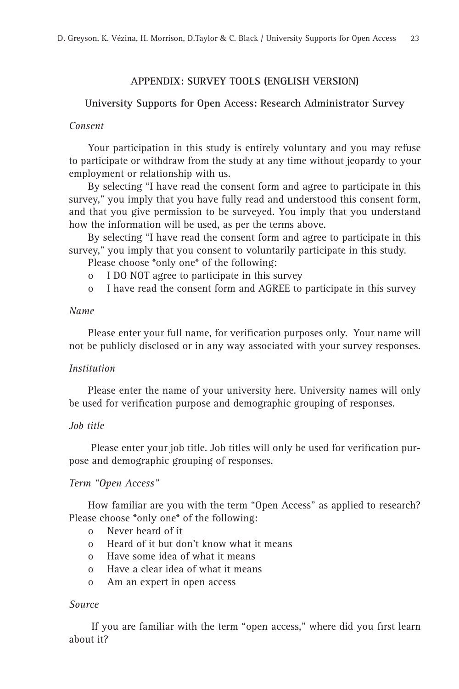## **APPENDIX: SURVEY TOOLS (ENGLISH VERSION)**

## **University Supports for Open Access: Research Administrator Survey**

#### *Consent*

Your participation in this study is entirely voluntary and you may refuse to participate or withdraw from the study at any time without jeopardy to your employment or relationship with us.

By selecting "I have read the consent form and agree to participate in this survey," you imply that you have fully read and understood this consent form, and that you give permission to be surveyed. You imply that you understand how the information will be used, as per the terms above.

By selecting "I have read the consent form and agree to participate in this survey," you imply that you consent to voluntarily participate in this study.

Please choose \*only one\* of the following:

- o I DO NOT agree to participate in this survey
- o I have read the consent form and AGREE to participate in this survey

## *Name*

Please enter your full name, for verification purposes only. Your name will not be publicly disclosed or in any way associated with your survey responses.

#### *Institution*

Please enter the name of your university here. University names will only be used for verification purpose and demographic grouping of responses.

#### *Job title*

Please enter your job title. Job titles will only be used for verification purpose and demographic grouping of responses.

## *Term "Open Access"*

How familiar are you with the term "Open Access" as applied to research? Please choose \*only one\* of the following:

- o Never heard of it
- o Heard of it but don't know what it means
- o Have some idea of what it means
- o Have a clear idea of what it means
- o Am an expert in open access

#### *Source*

If you are familiar with the term "open access," where did you first learn about it?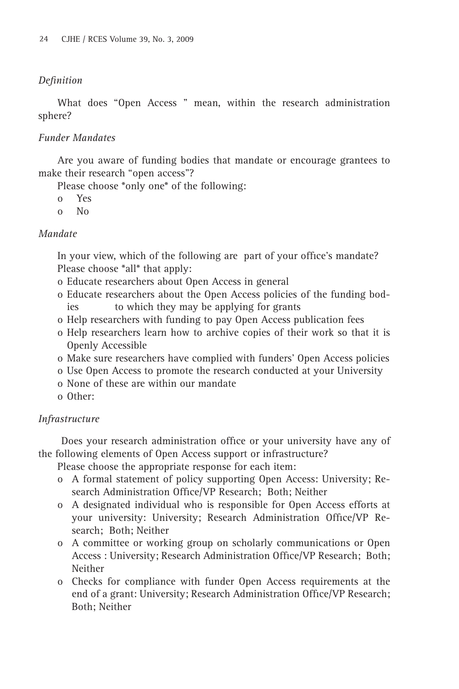## *Defi nition*

What does "Open Access " mean, within the research administration sphere?

## *Funder Mandates*

Are you aware of funding bodies that mandate or encourage grantees to make their research "open access"?

Please choose \*only one\* of the following:

- o Yes
- o No

## *Mandate*

In your view, which of the following are part of your office's mandate? Please choose \*all\* that apply:

- o Educate researchers about Open Access in general
- o Educate researchers about the Open Access policies of the funding bodies to which they may be applying for grants
- o Help researchers with funding to pay Open Access publication fees
- o Help researchers learn how to archive copies of their work so that it is Openly Accessible
- o Make sure researchers have complied with funders' Open Access policies
- o Use Open Access to promote the research conducted at your University
- o None of these are within our mandate
- o Other:

## *Infrastructure*

Does your research administration office or your university have any of the following elements of Open Access support or infrastructure?

Please choose the appropriate response for each item:

- o A formal statement of policy supporting Open Access: University; Research Administration Office/VP Research; Both; Neither
- o A designated individual who is responsible for Open Access efforts at your university: University; Research Administration Office/VP Research; Both; Neither
- o A committee or working group on scholarly communications or Open Access : University; Research Administration Office/VP Research; Both; Neither
- o Checks for compliance with funder Open Access requirements at the end of a grant: University; Research Administration Office/VP Research; Both; Neither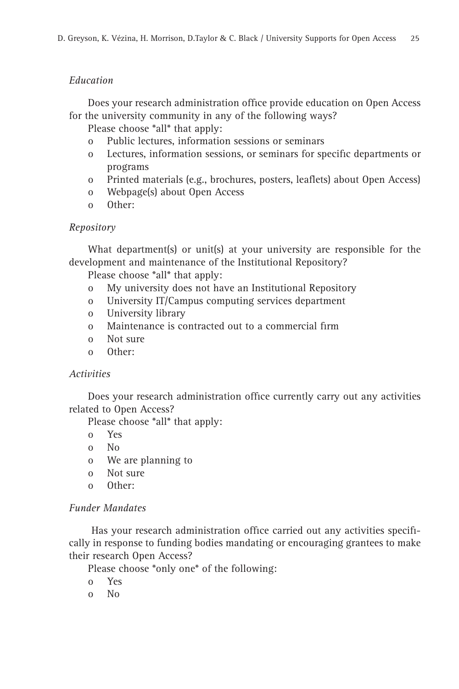# *Education*

Does your research administration office provide education on Open Access for the university community in any of the following ways?

Please choose \*all\* that apply:

- o Public lectures, information sessions or seminars
- o Lectures, information sessions, or seminars for specific departments or programs
- o Printed materials (e.g., brochures, posters, leaflets) about Open Access)
- o Webpage(s) about Open Access
- o Other:

# *Repository*

What department(s) or unit(s) at your university are responsible for the development and maintenance of the Institutional Repository?

Please choose \*all\* that apply:

- o My university does not have an Institutional Repository
- o University IT/Campus computing services department
- o University library
- o Maintenance is contracted out to a commercial firm
- o Not sure
- o Other:

# *Activities*

Does your research administration office currently carry out any activities related to Open Access?

Please choose \*all\* that apply:

- o Yes
- o No
- o We are planning to
- o Not sure
- o Other:

# *Funder Mandates*

Has your research administration office carried out any activities specifically in response to funding bodies mandating or encouraging grantees to make their research Open Access?

Please choose \*only one\* of the following:

- o Yes
- o No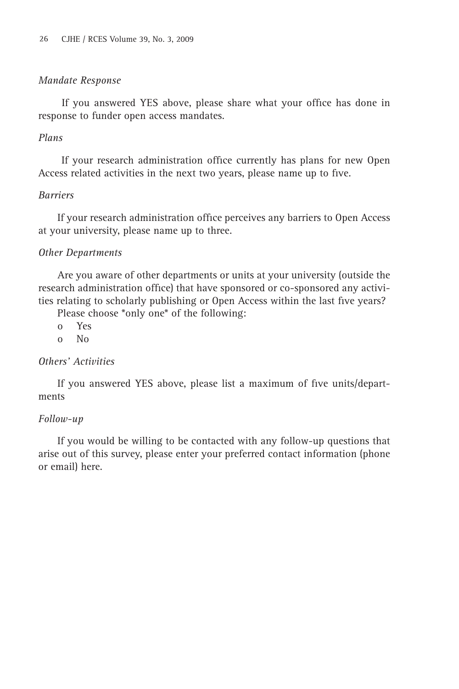## *Mandate Response*

If you answered YES above, please share what your office has done in response to funder open access mandates.

## *Plans*

If your research administration office currently has plans for new Open Access related activities in the next two years, please name up to five.

## *Barriers*

If your research administration office perceives any barriers to Open Access at your university, please name up to three.

# *Other Departments*

Are you aware of other departments or units at your university (outside the research administration office) that have sponsored or co-sponsored any activities relating to scholarly publishing or Open Access within the last five years?

Please choose \*only one\* of the following:

- o Yes
- o No

# *Others' Activities*

If you answered YES above, please list a maximum of five units/departments

# *Follow-up*

If you would be willing to be contacted with any follow-up questions that arise out of this survey, please enter your preferred contact information (phone or email) here.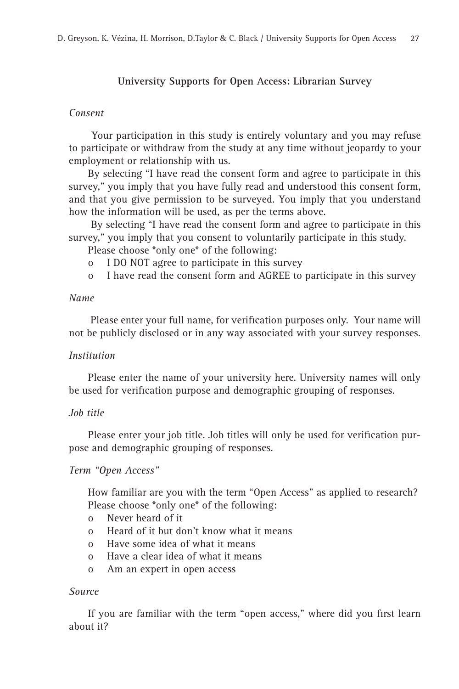## **University Supports for Open Access: Librarian Survey**

## *Consent*

 Your participation in this study is entirely voluntary and you may refuse to participate or withdraw from the study at any time without jeopardy to your employment or relationship with us.

By selecting "I have read the consent form and agree to participate in this survey," you imply that you have fully read and understood this consent form, and that you give permission to be surveyed. You imply that you understand how the information will be used, as per the terms above.

 By selecting "I have read the consent form and agree to participate in this survey," you imply that you consent to voluntarily participate in this study.

Please choose \*only one\* of the following:

- o I DO NOT agree to participate in this survey
- o I have read the consent form and AGREE to participate in this survey

## *Name*

Please enter your full name, for verification purposes only. Your name will not be publicly disclosed or in any way associated with your survey responses.

## *Institution*

Please enter the name of your university here. University names will only be used for verification purpose and demographic grouping of responses.

## *Job title*

Please enter your job title. Job titles will only be used for verification purpose and demographic grouping of responses.

## *Term "Open Access"*

How familiar are you with the term "Open Access" as applied to research? Please choose \*only one\* of the following:

- o Never heard of it
- o Heard of it but don't know what it means
- o Have some idea of what it means
- o Have a clear idea of what it means
- o Am an expert in open access

## *Source*

If you are familiar with the term "open access," where did you first learn about it?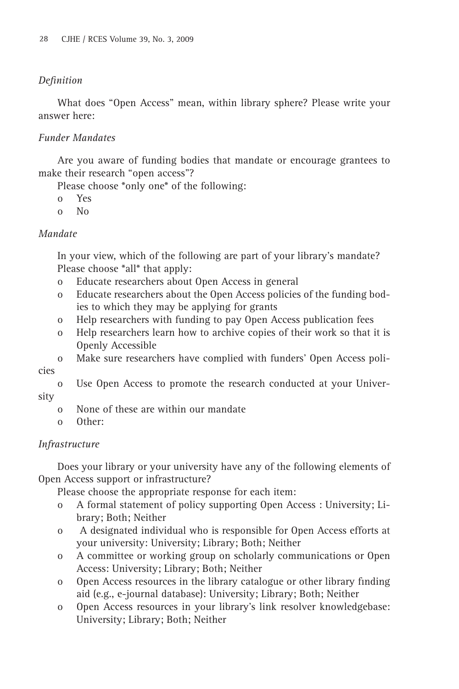## *Defi nition*

What does "Open Access" mean, within library sphere? Please write your answer here:

## *Funder Mandates*

Are you aware of funding bodies that mandate or encourage grantees to make their research "open access"?

Please choose \*only one\* of the following:

- o Yes
- o No

## *Mandate*

In your view, which of the following are part of your library's mandate? Please choose \*all\* that apply:

- o Educate researchers about Open Access in general
- o Educate researchers about the Open Access policies of the funding bodies to which they may be applying for grants
- o Help researchers with funding to pay Open Access publication fees
- o Help researchers learn how to archive copies of their work so that it is Openly Accessible
- o Make sure researchers have complied with funders' Open Access poli-

cies

o Use Open Access to promote the research conducted at your University

- o None of these are within our mandate
- o Other:

## *Infrastructure*

Does your library or your university have any of the following elements of Open Access support or infrastructure?

Please choose the appropriate response for each item:

- o A formal statement of policy supporting Open Access : University; Library; Both; Neither
- o A designated individual who is responsible for Open Access efforts at your university: University; Library; Both; Neither
- o A committee or working group on scholarly communications or Open Access: University; Library; Both; Neither
- o Open Access resources in the library catalogue or other library finding aid (e.g., e-journal database): University; Library; Both; Neither
- o Open Access resources in your library's link resolver knowledgebase: University; Library; Both; Neither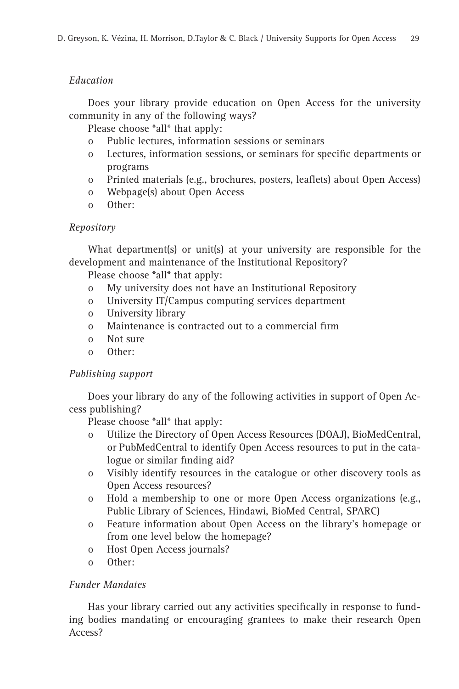# *Education*

Does your library provide education on Open Access for the university community in any of the following ways?

Please choose \*all\* that apply:

- o Public lectures, information sessions or seminars
- o Lectures, information sessions, or seminars for specific departments or programs
- o Printed materials (e.g., brochures, posters, leaflets) about Open Access)
- o Webpage(s) about Open Access
- o Other:

# *Repository*

What department(s) or unit(s) at your university are responsible for the development and maintenance of the Institutional Repository?

Please choose \*all\* that apply:

- o My university does not have an Institutional Repository
- o University IT/Campus computing services department
- o University library
- o Maintenance is contracted out to a commercial firm
- o Not sure
- o Other:

# *Publishing support*

Does your library do any of the following activities in support of Open Access publishing?

Please choose \*all\* that apply:

- o Utilize the Directory of Open Access Resources (DOAJ), BioMedCentral, or PubMedCentral to identify Open Access resources to put in the catalogue or similar finding aid?
- o Visibly identify resources in the catalogue or other discovery tools as Open Access resources?
- o Hold a membership to one or more Open Access organizations (e.g., Public Library of Sciences, Hindawi, BioMed Central, SPARC)
- o Feature information about Open Access on the library's homepage or from one level below the homepage?
- o Host Open Access journals?
- o Other:

# *Funder Mandates*

Has your library carried out any activities specifically in response to funding bodies mandating or encouraging grantees to make their research Open Access?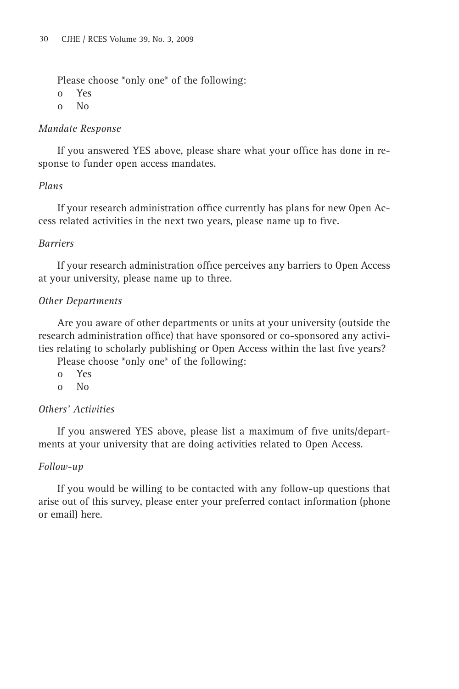Please choose \*only one\* of the following:

o Yes

o No

## *Mandate Response*

If you answered YES above, please share what your office has done in response to funder open access mandates.

# *Plans*

If your research administration office currently has plans for new Open Access related activities in the next two years, please name up to five.

# *Barriers*

If your research administration office perceives any barriers to Open Access at your university, please name up to three.

# *Other Departments*

Are you aware of other departments or units at your university (outside the research administration office) that have sponsored or co-sponsored any activities relating to scholarly publishing or Open Access within the last five years?

Please choose \*only one\* of the following:

- o Yes
- o No

# *Others' Activities*

If you answered YES above, please list a maximum of five units/departments at your university that are doing activities related to Open Access.

# *Follow-up*

If you would be willing to be contacted with any follow-up questions that arise out of this survey, please enter your preferred contact information (phone or email) here.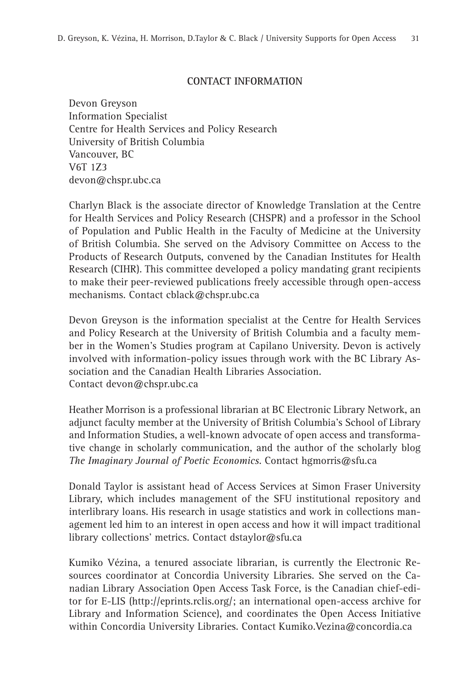## **CONTACT INFORMATION**

Devon Greyson Information Specialist Centre for Health Services and Policy Research University of British Columbia Vancouver, BC V6T 1Z3 devon@chspr.ubc.ca

Charlyn Black is the associate director of Knowledge Translation at the Centre for Health Services and Policy Research (CHSPR) and a professor in the School of Population and Public Health in the Faculty of Medicine at the University of British Columbia. She served on the Advisory Committee on Access to the Products of Research Outputs, convened by the Canadian Institutes for Health Research (CIHR). This committee developed a policy mandating grant recipients to make their peer-reviewed publications freely accessible through open-access mechanisms. Contact cblack@chspr.ubc.ca

Devon Greyson is the information specialist at the Centre for Health Services and Policy Research at the University of British Columbia and a faculty member in the Women's Studies program at Capilano University. Devon is actively involved with information-policy issues through work with the BC Library Association and the Canadian Health Libraries Association. Contact devon@chspr.ubc.ca

Heather Morrison is a professional librarian at BC Electronic Library Network, an adjunct faculty member at the University of British Columbia's School of Library and Information Studies, a well-known advocate of open access and transformative change in scholarly communication, and the author of the scholarly blog *The Imaginary Journal of Poetic Economics*. Contact hgmorris@sfu.ca

Donald Taylor is assistant head of Access Services at Simon Fraser University Library, which includes management of the SFU institutional repository and interlibrary loans. His research in usage statistics and work in collections management led him to an interest in open access and how it will impact traditional library collections' metrics. Contact dstaylor@sfu.ca

Kumiko Vézina, a tenured associate librarian, is currently the Electronic Resources coordinator at Concordia University Libraries. She served on the Canadian Library Association Open Access Task Force, is the Canadian chief-editor for E-LIS (http://eprints.rclis.org/; an international open-access archive for Library and Information Science), and coordinates the Open Access Initiative within Concordia University Libraries. Contact Kumiko.Vezina@concordia.ca